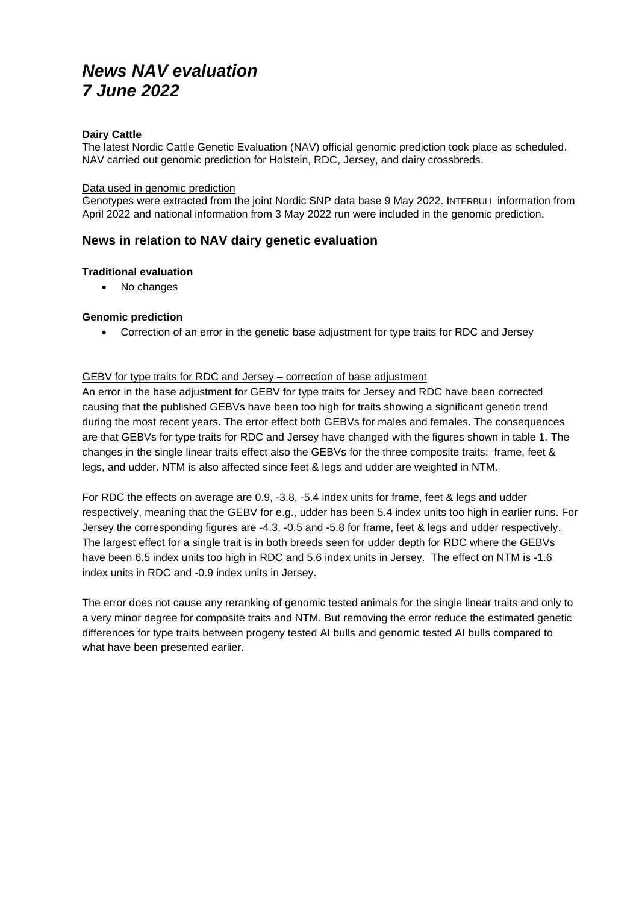# *News NAV evaluation 7 June 2022*

#### **Dairy Cattle**

The latest Nordic Cattle Genetic Evaluation (NAV) official genomic prediction took place as scheduled. NAV carried out genomic prediction for Holstein, RDC, Jersey, and dairy crossbreds.

#### Data used in genomic prediction

Genotypes were extracted from the joint Nordic SNP data base 9 May 2022. INTERBULL information from April 2022 and national information from 3 May 2022 run were included in the genomic prediction.

# **News in relation to NAV dairy genetic evaluation**

#### **Traditional evaluation**

• No changes

### **Genomic prediction**

• Correction of an error in the genetic base adjustment for type traits for RDC and Jersey

#### GEBV for type traits for RDC and Jersey – correction of base adjustment

An error in the base adjustment for GEBV for type traits for Jersey and RDC have been corrected causing that the published GEBVs have been too high for traits showing a significant genetic trend during the most recent years. The error effect both GEBVs for males and females. The consequences are that GEBVs for type traits for RDC and Jersey have changed with the figures shown in table 1. The changes in the single linear traits effect also the GEBVs for the three composite traits: frame, feet & legs, and udder. NTM is also affected since feet & legs and udder are weighted in NTM.

For RDC the effects on average are 0.9, -3.8, -5.4 index units for frame, feet & legs and udder respectively, meaning that the GEBV for e.g., udder has been 5.4 index units too high in earlier runs. For Jersey the corresponding figures are -4.3, -0.5 and -5.8 for frame, feet & legs and udder respectively. The largest effect for a single trait is in both breeds seen for udder depth for RDC where the GEBVs have been 6.5 index units too high in RDC and 5.6 index units in Jersey. The effect on NTM is -1.6 index units in RDC and -0.9 index units in Jersey.

The error does not cause any reranking of genomic tested animals for the single linear traits and only to a very minor degree for composite traits and NTM. But removing the error reduce the estimated genetic differences for type traits between progeny tested AI bulls and genomic tested AI bulls compared to what have been presented earlier.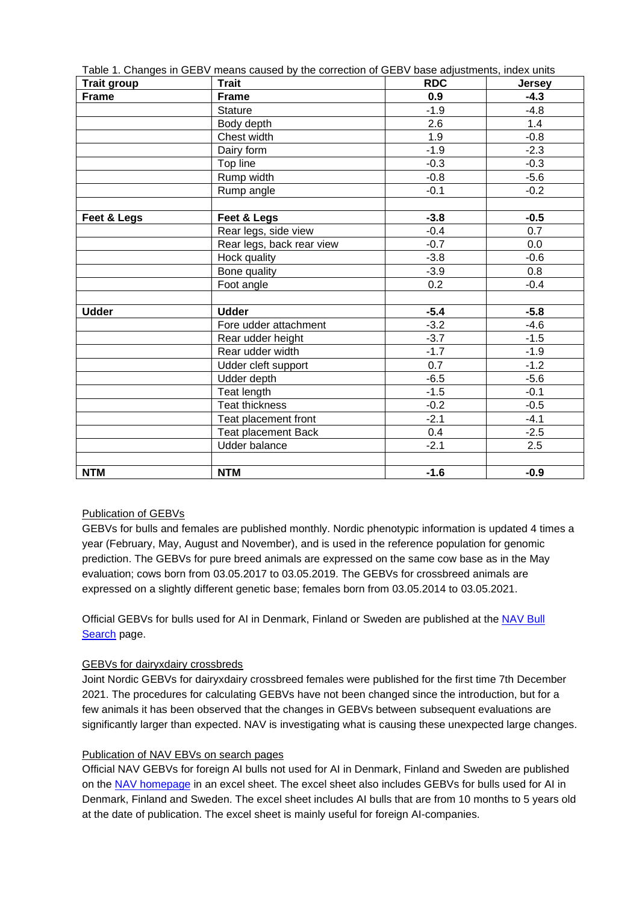|                    | Table 1. Changes in GEBV means caused by the correction of GEBV base adjustments, index units |        |               |  |  |
|--------------------|-----------------------------------------------------------------------------------------------|--------|---------------|--|--|
| <b>Trait group</b> | <b>Trait</b><br><b>RDC</b>                                                                    |        | <b>Jersey</b> |  |  |
| <b>Frame</b>       | <b>Frame</b>                                                                                  | 0.9    | $-4.3$        |  |  |
|                    | <b>Stature</b>                                                                                | $-1.9$ | $-4.8$        |  |  |
|                    | Body depth                                                                                    | 2.6    | 1.4           |  |  |
|                    | Chest width                                                                                   | 1.9    | $-0.8$        |  |  |
|                    | Dairy form                                                                                    | $-1.9$ | $-2.3$        |  |  |
|                    | Top line                                                                                      | $-0.3$ | $-0.3$        |  |  |
|                    | Rump width                                                                                    | $-0.8$ | $-5.6$        |  |  |
|                    | Rump angle                                                                                    | $-0.1$ | $-0.2$        |  |  |
|                    |                                                                                               |        |               |  |  |
| Feet & Legs        | Feet & Legs                                                                                   | $-3.8$ | $-0.5$        |  |  |
|                    | Rear legs, side view                                                                          | $-0.4$ | 0.7           |  |  |
|                    | Rear legs, back rear view                                                                     | $-0.7$ | 0.0           |  |  |
|                    | Hock quality                                                                                  | $-3.8$ | $-0.6$        |  |  |
|                    | Bone quality                                                                                  | $-3.9$ | 0.8           |  |  |
|                    | Foot angle                                                                                    | 0.2    | $-0.4$        |  |  |
|                    |                                                                                               |        |               |  |  |
| <b>Udder</b>       | <b>Udder</b>                                                                                  | $-5.4$ | $-5.8$        |  |  |
|                    | Fore udder attachment                                                                         | $-3.2$ | $-4.6$        |  |  |
|                    | Rear udder height                                                                             | $-3.7$ | $-1.5$        |  |  |
|                    | Rear udder width                                                                              | $-1.7$ | $-1.9$        |  |  |
|                    | Udder cleft support                                                                           | 0.7    | $-1.2$        |  |  |
|                    | Udder depth                                                                                   | $-6.5$ | $-5.6$        |  |  |
|                    | Teat length                                                                                   | $-1.5$ | $-0.1$        |  |  |
|                    | <b>Teat thickness</b>                                                                         | $-0.2$ | $-0.5$        |  |  |
|                    | Teat placement front                                                                          | $-2.1$ | $-4.1$        |  |  |
|                    | <b>Teat placement Back</b>                                                                    | 0.4    | $-2.5$        |  |  |
|                    | <b>Udder balance</b>                                                                          | $-2.1$ | 2.5           |  |  |
|                    |                                                                                               |        |               |  |  |
| <b>NTM</b>         | <b>NTM</b>                                                                                    | $-1.6$ | $-0.9$        |  |  |

#### Publication of GEBVs

GEBVs for bulls and females are published monthly. Nordic phenotypic information is updated 4 times a year (February, May, August and November), and is used in the reference population for genomic prediction. The GEBVs for pure breed animals are expressed on the same cow base as in the May evaluation; cows born from 03.05.2017 to 03.05.2019. The GEBVs for crossbreed animals are expressed on a slightly different genetic base; females born from 03.05.2014 to 03.05.2021.

Official GEBVs for bulls used for AI in Denmark, Finland or Sweden are published at the NAV Bull [Search](https://nordic.mloy.fi/navbull) page.

#### GEBVs for dairyxdairy crossbreds

Joint Nordic GEBVs for dairyxdairy crossbreed females were published for the first time 7th December 2021. The procedures for calculating GEBVs have not been changed since the introduction, but for a few animals it has been observed that the changes in GEBVs between subsequent evaluations are significantly larger than expected. NAV is investigating what is causing these unexpected large changes.

#### Publication of NAV EBVs on search pages

Official NAV GEBVs for foreign AI bulls not used for AI in Denmark, Finland and Sweden are published on the [NAV homepage](http://www.nordicebv.info/genomic-evaluation/) in an excel sheet. The excel sheet also includes GEBVs for bulls used for AI in Denmark, Finland and Sweden. The excel sheet includes AI bulls that are from 10 months to 5 years old at the date of publication. The excel sheet is mainly useful for foreign AI-companies.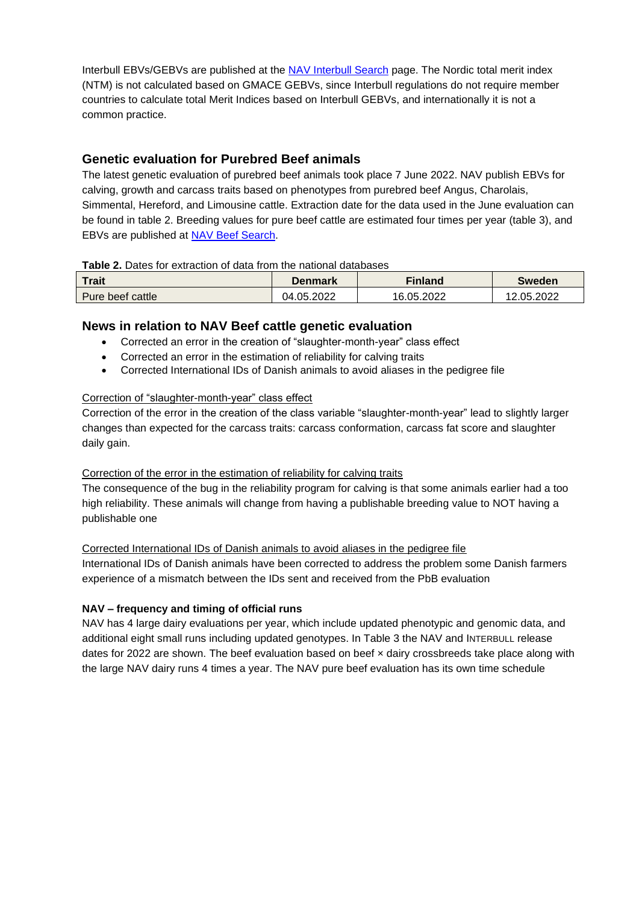Interbull EBVs/GEBVs are published at the [NAV Interbull Search](https://nordic.mloy.fi/InterBull) page. The Nordic total merit index (NTM) is not calculated based on GMACE GEBVs, since Interbull regulations do not require member countries to calculate total Merit Indices based on Interbull GEBVs, and internationally it is not a common practice.

# **Genetic evaluation for Purebred Beef animals**

The latest genetic evaluation of purebred beef animals took place 7 June 2022. NAV publish EBVs for calving, growth and carcass traits based on phenotypes from purebred beef Angus, Charolais, Simmental, Hereford, and Limousine cattle. Extraction date for the data used in the June evaluation can be found in table 2. Breeding values for pure beef cattle are estimated four times per year (table 3), and EBVs are published at [NAV Beef Search.](https://nordic.mloy.fi/NavBeef)

# **Table 2.** Dates for extraction of data from the national databases

| <b>Trait</b>     | Denmark    | <b>Finland</b> | Sweden     |
|------------------|------------|----------------|------------|
| Pure beef cattle | 04.05.2022 | 16.05.2022     | 12.05.2022 |

# **News in relation to NAV Beef cattle genetic evaluation**

- Corrected an error in the creation of "slaughter-month-year" class effect
- Corrected an error in the estimation of reliability for calving traits
- Corrected International IDs of Danish animals to avoid aliases in the pedigree file

# Correction of "slaughter-month-year" class effect

Correction of the error in the creation of the class variable "slaughter-month-year" lead to slightly larger changes than expected for the carcass traits: carcass conformation, carcass fat score and slaughter daily gain.

# Correction of the error in the estimation of reliability for calving traits

The consequence of the bug in the reliability program for calving is that some animals earlier had a too high reliability. These animals will change from having a publishable breeding value to NOT having a publishable one

# Corrected International IDs of Danish animals to avoid aliases in the pedigree file

International IDs of Danish animals have been corrected to address the problem some Danish farmers experience of a mismatch between the IDs sent and received from the PbB evaluation

# **NAV – frequency and timing of official runs**

NAV has 4 large dairy evaluations per year, which include updated phenotypic and genomic data, and additional eight small runs including updated genotypes. In Table 3 the NAV and INTERBULL release dates for 2022 are shown. The beef evaluation based on beef × dairy crossbreeds take place along with the large NAV dairy runs 4 times a year. The NAV pure beef evaluation has its own time schedule